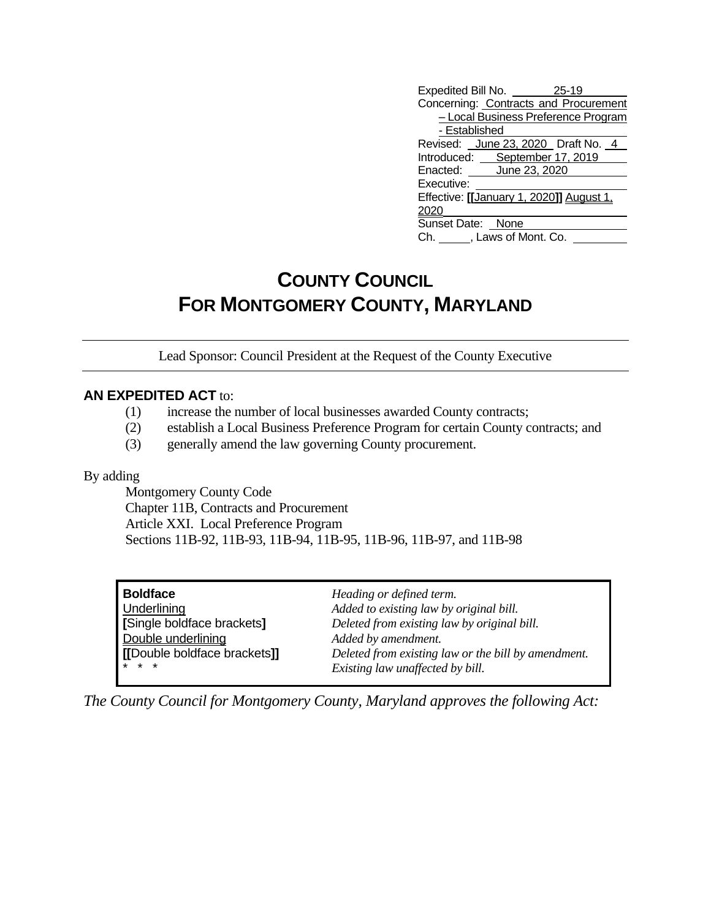| Expedited Bill No. 25-19                 |
|------------------------------------------|
| Concerning: Contracts and Procurement    |
| - Local Business Preference Program      |
| - Established                            |
| Revised: June 23, 2020 Draft No. 4       |
| Introduced: September 17, 2019           |
| Enacted: June 23, 2020                   |
| Executive:                               |
| Effective: [[January 1, 2020]] August 1, |
| 2020                                     |
| Sunset Date: None                        |
| Ch. , Laws of Mont. Co.                  |

## **COUNTY COUNCIL FOR MONTGOMERY COUNTY, MARYLAND**

Lead Sponsor: Council President at the Request of the County Executive

## **AN EXPEDITED ACT** to:

- (1) increase the number of local businesses awarded County contracts;
- (2) establish a Local Business Preference Program for certain County contracts; and
- (3) generally amend the law governing County procurement.

By adding

Montgomery County Code Chapter 11B, Contracts and Procurement Article XXI. Local Preference Program Sections 11B-92, 11B-93, 11B-94, 11B-95, 11B-96, 11B-97, and 11B-98

**Boldface** *Heading or defined term.* **Double underlining**<br> **IDouble boldface brackets**<br> **IDouble boldface brackets** 

Underlining *Added to existing law by original bill.* **[**Single boldface brackets**]** *Deleted from existing law by original bill.* **(b)**  $\mathbf{b}$  **[l boldface brackets]]** *Deleted from existing law or the bill by amendment.*  $Existing law$  *unaffected by bill.* 

*The County Council for Montgomery County, Maryland approves the following Act:*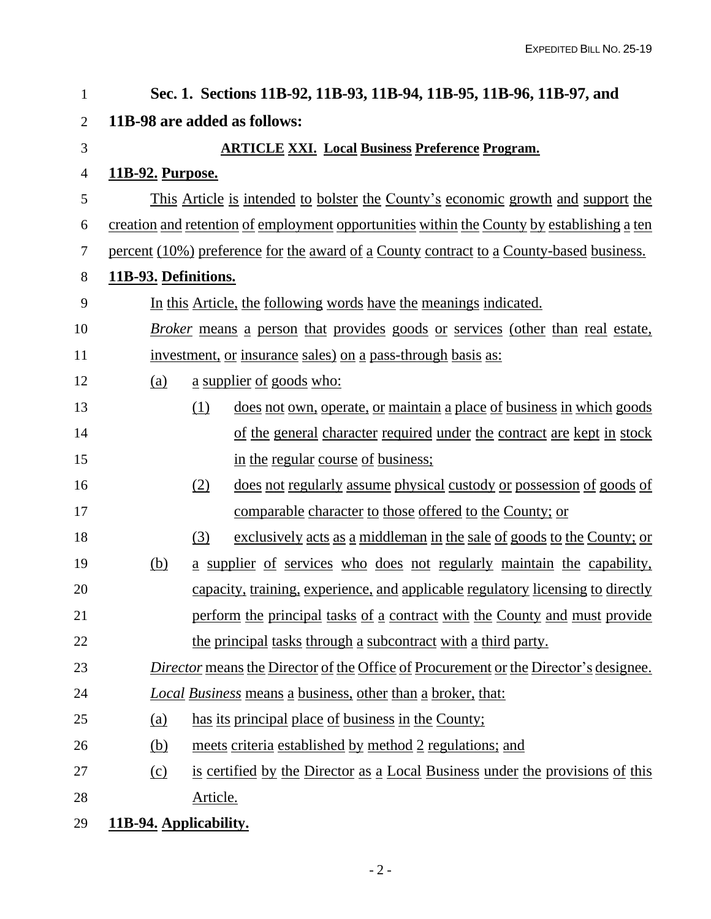| 1              | Sec. 1. Sections 11B-92, 11B-93, 11B-94, 11B-95, 11B-96, 11B-97, and                               |                                                                                            |  |  |  |
|----------------|----------------------------------------------------------------------------------------------------|--------------------------------------------------------------------------------------------|--|--|--|
| $\overline{2}$ | 11B-98 are added as follows:                                                                       |                                                                                            |  |  |  |
| 3              |                                                                                                    | <b>ARTICLE XXI. Local Business Preference Program.</b>                                     |  |  |  |
| 4              | <u>11B-92. Purpose.</u>                                                                            |                                                                                            |  |  |  |
| 5              |                                                                                                    | This Article is intended to bolster the County's economic growth and support the           |  |  |  |
| 6              |                                                                                                    | creation and retention of employment opportunities within the County by establishing a ten |  |  |  |
| 7              |                                                                                                    | percent (10%) preference for the award of a County contract to a County-based business.    |  |  |  |
| 8              | 11B-93. Definitions.                                                                               |                                                                                            |  |  |  |
| 9              | In this Article, the following words have the meanings indicated.                                  |                                                                                            |  |  |  |
| 10             | <i>Broker</i> means a person that provides goods or services (other than real estate,              |                                                                                            |  |  |  |
| 11             | investment, or insurance sales) on a pass-through basis as:                                        |                                                                                            |  |  |  |
| 12             | (a)                                                                                                | <u>a supplier of goods who:</u>                                                            |  |  |  |
| 13             |                                                                                                    | (1)<br>does not own, operate, or maintain a place of business in which goods               |  |  |  |
| 14             |                                                                                                    | of the general character required under the contract are kept in stock                     |  |  |  |
| 15             |                                                                                                    | in the regular course of business;                                                         |  |  |  |
| 16             |                                                                                                    | (2)<br>does not regularly assume physical custody or possession of goods of                |  |  |  |
| 17             |                                                                                                    | <u>comparable character to those offered to the County; or</u>                             |  |  |  |
| 18             |                                                                                                    | exclusively acts as a middleman in the sale of goods to the County; or<br>(3)              |  |  |  |
| 19             | (b)                                                                                                | a supplier of services who does not regularly maintain the capability,                     |  |  |  |
| 20             |                                                                                                    | capacity, training, experience, and applicable regulatory licensing to directly            |  |  |  |
| 21             |                                                                                                    | perform the principal tasks of a contract with the County and must provide                 |  |  |  |
| 22             |                                                                                                    | the principal tasks through a subcontract with a third party.                              |  |  |  |
| 23             | <i><u>Director means the Director of the Office of Procurement or the Director's designee.</u></i> |                                                                                            |  |  |  |
| 24             | <b>Local Business means a business, other than a broker, that:</b>                                 |                                                                                            |  |  |  |
| 25             | <u>(a)</u>                                                                                         | has its principal place of business in the County;                                         |  |  |  |
| 26             | (b)                                                                                                | meets criteria established by method 2 regulations; and                                    |  |  |  |
| 27             | (c)                                                                                                | is certified by the Director as a Local Business under the provisions of this              |  |  |  |
| 28             |                                                                                                    | Article.                                                                                   |  |  |  |
| 29             | 11B-94. Applicability.                                                                             |                                                                                            |  |  |  |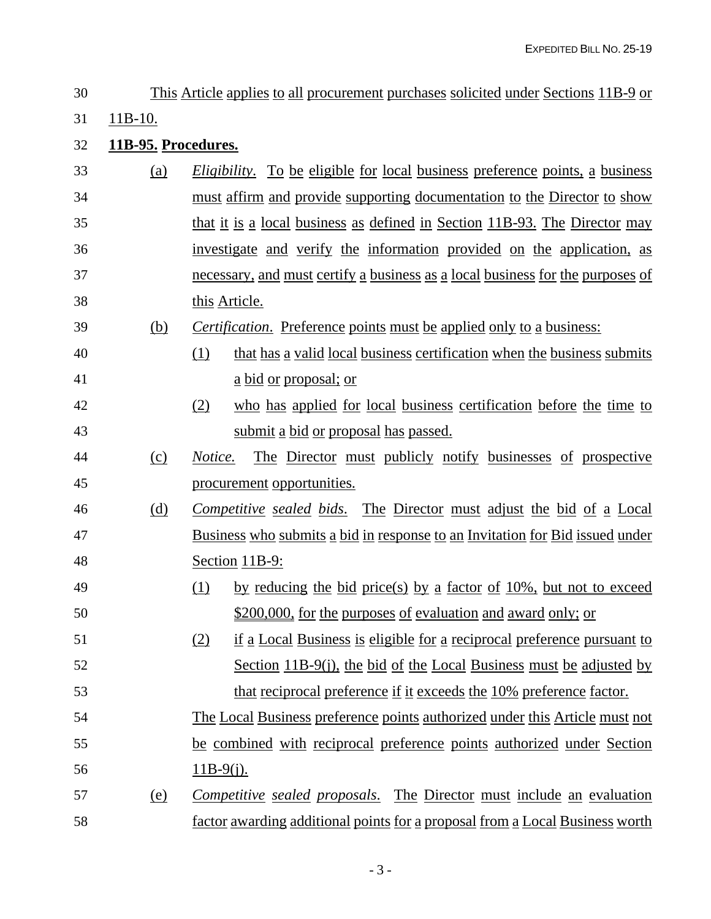11B-10. **11B-95. Procedures.** (a) *Eligibility*. To be eligible for local business preference points, a business 34 must affirm and provide supporting documentation to the Director to show that it is a local business as defined in Section 11B-93. The Director may investigate and verify the information provided on the application, as necessary, and must certify a business as a local business for the purposes of this Article. (b) *Certification*. Preference points must be applied only to a business: (1) that has a valid local business certification when the business submits a bid or proposal; or (2) who has applied for local business certification before the time to submit a bid or proposal has passed. (c) *Notice.* The Director must publicly notify businesses of prospective procurement opportunities. (d) *Competitive sealed bids*. The Director must adjust the bid of a Local Business who submits a bid in response to an Invitation for Bid issued under Section 11B-9: 49 (1) by reducing the bid price(s) by a factor of 10%, but not to exceed 50 \$200,000, for the purposes of evaluation and award only; or (2) if a Local Business is eligible for a reciprocal preference pursuant to Section 11B-9(j), the bid of the Local Business must be adjusted by that reciprocal preference if it exceeds the 10% preference factor. The Local Business preference points authorized under this Article must not be combined with reciprocal preference points authorized under Section 11B-9(j). (e) *Competitive sealed proposals*. The Director must include an evaluation factor awarding additional points for a proposal from a Local Business worth

This Article applies to all procurement purchases solicited under Sections 11B-9 or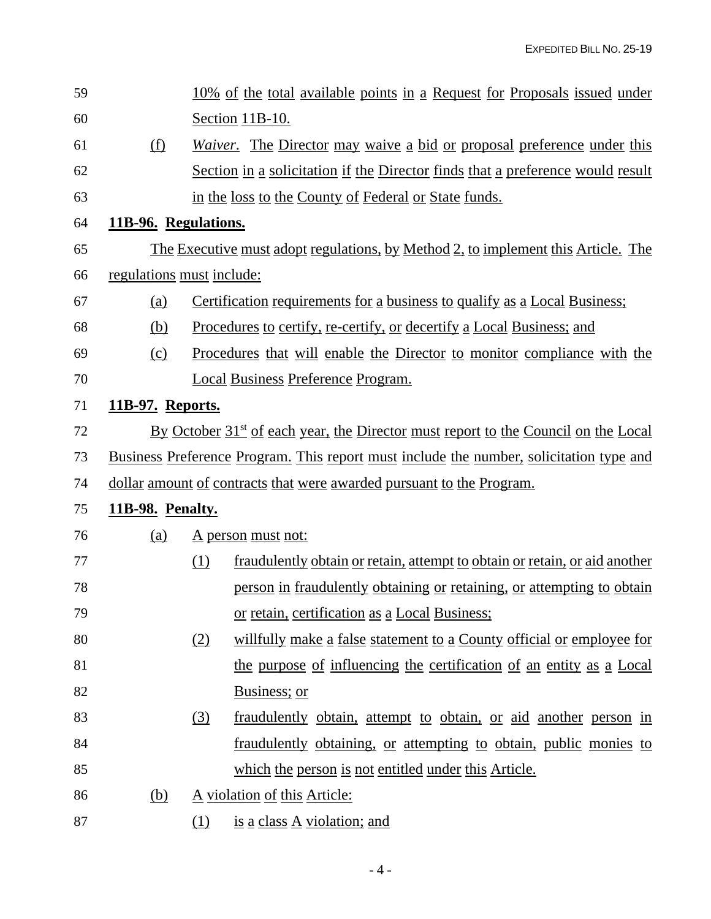| 59 |                                                                                                |                                                                                                | 10% of the total available points in a Request for Proposals issued under      |  |  |
|----|------------------------------------------------------------------------------------------------|------------------------------------------------------------------------------------------------|--------------------------------------------------------------------------------|--|--|
| 60 |                                                                                                |                                                                                                | <u>Section 11B-10.</u>                                                         |  |  |
| 61 | (f)                                                                                            |                                                                                                | <i>Waiver.</i> The Director may waive a bid or proposal preference under this  |  |  |
| 62 |                                                                                                |                                                                                                | Section in a solicitation if the Director finds that a preference would result |  |  |
| 63 |                                                                                                |                                                                                                | in the loss to the County of Federal or State funds.                           |  |  |
| 64 | 11B-96. Regulations.                                                                           |                                                                                                |                                                                                |  |  |
| 65 | <u>The Executive must adopt regulations, by Method 2, to implement this Article. The</u>       |                                                                                                |                                                                                |  |  |
| 66 | regulations must include:                                                                      |                                                                                                |                                                                                |  |  |
| 67 | (a)                                                                                            |                                                                                                | Certification requirements for a business to qualify as a Local Business;      |  |  |
| 68 | (b)                                                                                            |                                                                                                | <u>Procedures to certify, re-certify, or decertify a Local Business; and</u>   |  |  |
| 69 | (c)                                                                                            |                                                                                                | Procedures that will enable the Director to monitor compliance with the        |  |  |
| 70 |                                                                                                |                                                                                                | <b>Local Business Preference Program.</b>                                      |  |  |
| 71 | <u>11B-97. Reports.</u>                                                                        |                                                                                                |                                                                                |  |  |
| 72 |                                                                                                | By October 31 <sup>st</sup> of each year, the Director must report to the Council on the Local |                                                                                |  |  |
| 73 | <u>Business Preference Program. This report must include the number, solicitation type and</u> |                                                                                                |                                                                                |  |  |
| 74 |                                                                                                | <u>dollar amount of contracts that were awarded pursuant to the Program.</u>                   |                                                                                |  |  |
| 75 | <b>11B-98. Penalty.</b>                                                                        |                                                                                                |                                                                                |  |  |
| 76 | (a)                                                                                            |                                                                                                | <u>A person must not:</u>                                                      |  |  |
| 77 |                                                                                                | (1)                                                                                            | fraudulently obtain or retain, attempt to obtain or retain, or aid another     |  |  |
| 78 |                                                                                                |                                                                                                | person in fraudulently obtaining or retaining, or attempting to obtain         |  |  |
| 79 |                                                                                                |                                                                                                | or retain, certification as a Local Business;                                  |  |  |
| 80 |                                                                                                | (2)                                                                                            | willfully make a false statement to a County official or employee for          |  |  |
| 81 |                                                                                                |                                                                                                | the purpose of influencing the certification of an entity as a Local           |  |  |
| 82 |                                                                                                |                                                                                                | Business; or                                                                   |  |  |
| 83 |                                                                                                | (3)                                                                                            | fraudulently obtain, attempt to obtain, or aid another person in               |  |  |
| 84 |                                                                                                |                                                                                                | fraudulently obtaining, or attempting to obtain, public monies to              |  |  |
| 85 |                                                                                                |                                                                                                | which the person is not entitled under this Article.                           |  |  |
| 86 | (b)                                                                                            | A violation of this Article:                                                                   |                                                                                |  |  |
| 87 |                                                                                                | <u>(1)</u>                                                                                     | is a class A violation; and                                                    |  |  |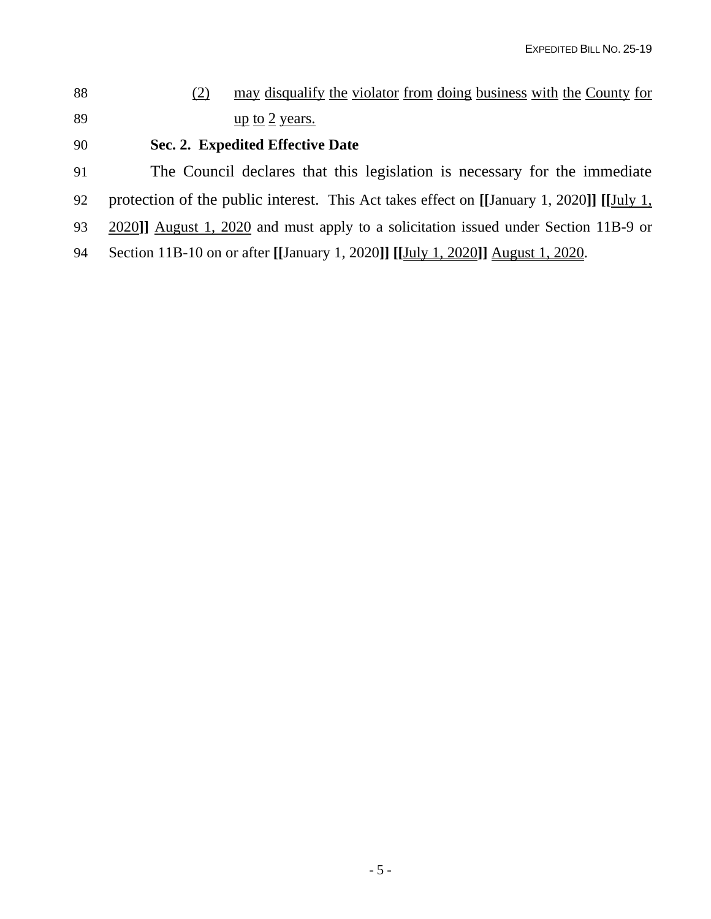(2) may disqualify the violator from doing business with the County for 89 up to 2 years.

## **Sec. 2. Expedited Effective Date**

The Council declares that this legislation is necessary for the immediate

- protection of the public interest. This Act takes effect on **[[**January 1, 2020**]] [[**July 1,
- 2020**]]** August 1, 2020 and must apply to a solicitation issued under Section 11B-9 or
- Section 11B-10 on or after **[[**January 1, 2020**]] [[**July 1, 2020**]]** August 1, 2020.